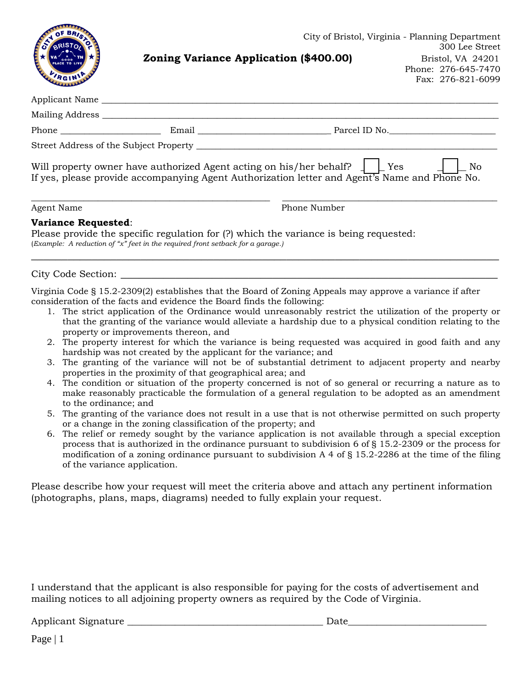| RGINIP              |                                                                                | City of Bristol, Virginia - Planning Department<br>Zoning Variance Application (\$400.00)                                                                                              |  | 300 Lee Street<br>Bristol, VA 24201<br>Phone: 276-645-7470<br>Fax: 276-821-6099 |
|---------------------|--------------------------------------------------------------------------------|----------------------------------------------------------------------------------------------------------------------------------------------------------------------------------------|--|---------------------------------------------------------------------------------|
|                     |                                                                                |                                                                                                                                                                                        |  |                                                                                 |
|                     |                                                                                |                                                                                                                                                                                        |  |                                                                                 |
|                     |                                                                                |                                                                                                                                                                                        |  |                                                                                 |
|                     |                                                                                |                                                                                                                                                                                        |  |                                                                                 |
|                     |                                                                                | Will property owner have authorized Agent acting on his/her behalf? $\Box$ Yes $\Box$<br>If yes, please provide accompanying Agent Authorization letter and Agent's Name and Phone No. |  | No                                                                              |
| Agent Name          |                                                                                | Phone Number                                                                                                                                                                           |  |                                                                                 |
| Variance Requested: | (Example: A reduction of "x" feet in the required front setback for a garage.) | Please provide the specific regulation for (?) which the variance is being requested:                                                                                                  |  |                                                                                 |
|                     |                                                                                |                                                                                                                                                                                        |  |                                                                                 |
|                     | consideration of the facts and evidence the Board finds the following:         | Virginia Code § 15.2-2309(2) establishes that the Board of Zoning Appeals may approve a variance if after                                                                              |  |                                                                                 |

- 1. The strict application of the Ordinance would unreasonably restrict the utilization of the property or that the granting of the variance would alleviate a hardship due to a physical condition relating to the property or improvements thereon, and
- 2. The property interest for which the variance is being requested was acquired in good faith and any hardship was not created by the applicant for the variance; and
- 3. The granting of the variance will not be of substantial detriment to adjacent property and nearby properties in the proximity of that geographical area; and
- 4. The condition or situation of the property concerned is not of so general or recurring a nature as to make reasonably practicable the formulation of a general regulation to be adopted as an amendment to the ordinance; and
- 5. The granting of the variance does not result in a use that is not otherwise permitted on such property or a change in the zoning classification of the property; and
- 6. The relief or remedy sought by the variance application is not available through a special exception process that is authorized in the ordinance pursuant to subdivision 6 of § [15.2-2309](http://law.lis.virginia.gov/vacode/15.2-2309/) or the process for modification of a zoning ordinance pursuant to subdivision A 4 of § [15.2-2286](http://law.lis.virginia.gov/vacode/15.2-2286/) at the time of the filing of the variance application.

Please describe how your request will meet the criteria above and attach any pertinent information (photographs, plans, maps, diagrams) needed to fully explain your request.

I understand that the applicant is also responsible for paying for the costs of advertisement and mailing notices to all adjoining property owners as required by the Code of Virginia.

Applicant Signature \_\_\_\_\_\_\_\_\_\_\_\_\_\_\_\_\_\_\_\_\_\_\_\_\_\_\_\_\_\_\_\_\_\_\_\_\_\_\_\_\_ Date\_\_\_\_\_\_\_\_\_\_\_\_\_\_\_\_\_\_\_\_\_\_\_\_\_\_\_\_\_

Page | 1